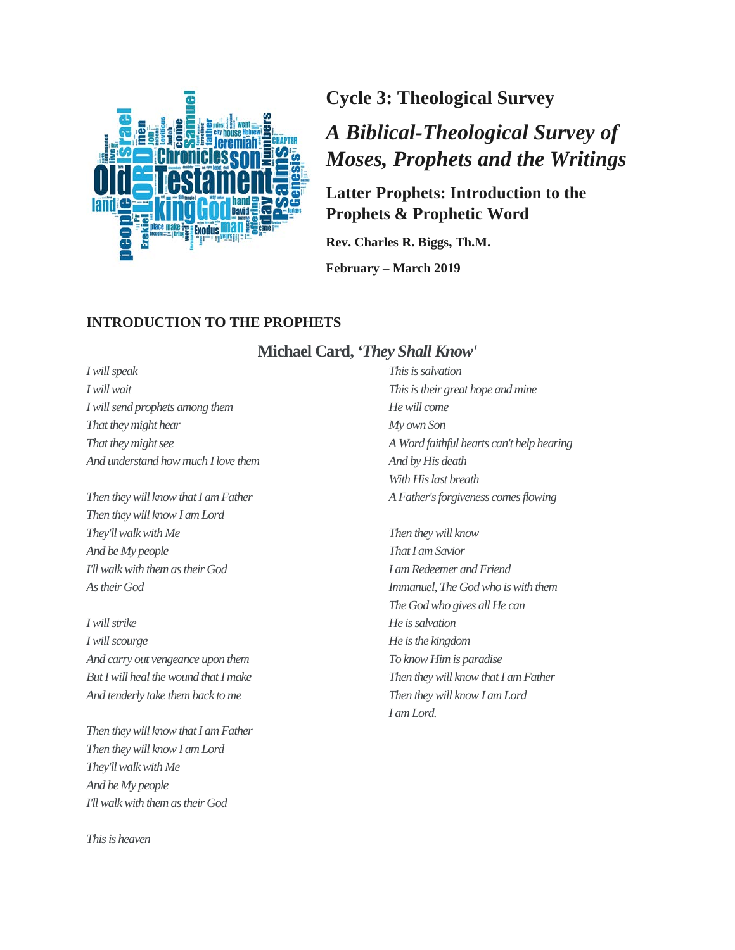

**Cycle 3: Theological Survey**

# *A Biblical-Theological Survey of Moses, Prophets and the Writings*

# **Latter Prophets: Introduction to the Prophets & Prophetic Word**

**Rev. Charles R. Biggs, Th.M.**

**February – March 2019**

#### **INTRODUCTION TO THE PROPHETS**

#### **Michael Card,** *'They Shall Know'*

*I will speak I will wait I will send prophets among them That they might hear That they might see And understand how much I love them*

*Then they will know that I am Father Then they will know I am Lord They'll walk with Me And be My people I'll walk with them as their God As their God*

*I will strike I will scourge And carry out vengeance upon them But I will heal the wound thatI make And tenderly take them back to me*

*Then they will know that I am Father Then they will know I am Lord They'll walk with Me And be My people I'll walk with them as their God*

*This is heaven*

*This is salvation This is their great hope and mine He will come My own Son A Word faithful hearts can't help hearing And by His death With His last breath A Father's forgiveness comes flowing*

*Then they will know That I am Savior I am Redeemer and Friend Immanuel, The God who is with them The God who gives all He can He is salvation He is the kingdom To know Him is paradise Then they will know that I am Father Then they will know I am Lord I am Lord.*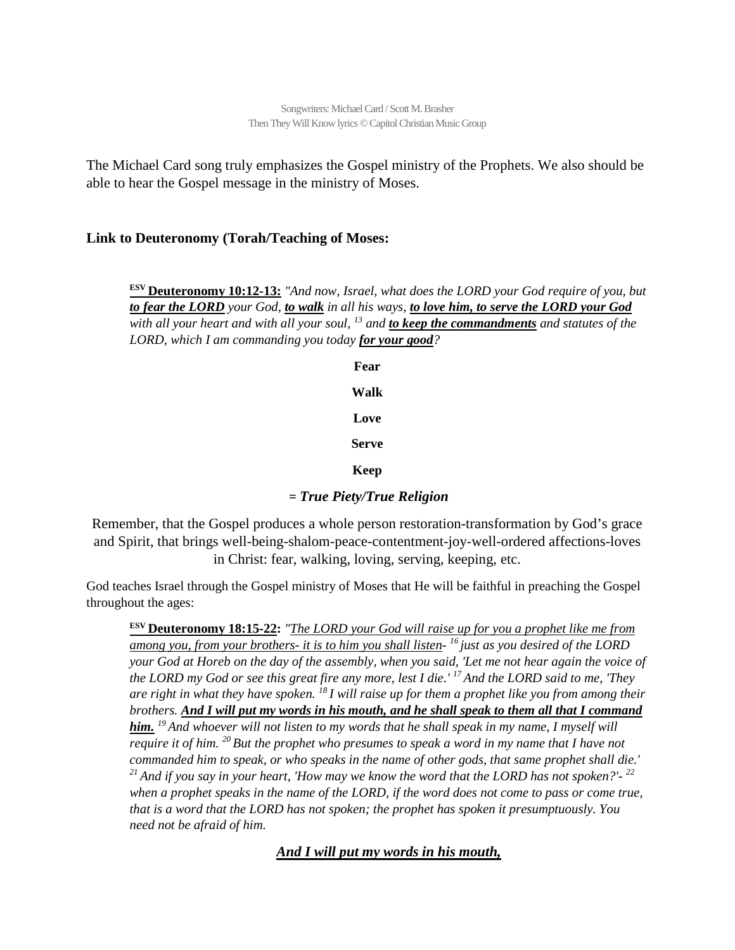The Michael Card song truly emphasizes the Gospel ministry of the Prophets. We also should be able to hear the Gospel message in the ministry of Moses.

#### **Link to Deuteronomy (Torah/Teaching of Moses:**

**ESV Deuteronomy 10:12-13:** *"And now, Israel, what does the LORD your God require of you, but to fear the LORD your God, to walk in all his ways, to love him, to serve the LORD your God with all your heart and with all your soul, 13 and to keep the commandments and statutes of the LORD, which I am commanding you today for your good?*

> **Fear Walk Love Serve Keep**

**=** *True Piety/True Religion*

Remember, that the Gospel produces a whole person restoration-transformation by God's grace and Spirit, that brings well-being-shalom-peace-contentment-joy-well-ordered affections-loves in Christ: fear, walking, loving, serving, keeping, etc.

God teaches Israel through the Gospel ministry of Moses that He will be faithful in preaching the Gospel throughout the ages:

**ESV Deuteronomy 18:15-22:** *"The LORD your God will raise up for you a prophet like me from among you, from your brothers- it is to him you shall listen- 16 just as you desired of the LORD your God at Horeb on the day of the assembly, when you said, 'Let me not hear again the voice of the LORD my God or see this great fire any more, lest I die.' 17 And the LORD said to me, 'They are right in what they have spoken. 18 I will raise up for them a prophet like you from among their brothers. And I will put my words in his mouth, and he shall speak to them all that I command him. 19 And whoever will not listen to my words that he shall speak in my name, I myself will require it of him. 20 But the prophet who presumes to speak a word in my name that I have not commanded him to speak, or who speaks in the name of other gods, that same prophet shall die.' 21 And if you say in your heart, 'How may we know the word that the LORD has not spoken?'- <sup>22</sup> when a prophet speaks in the name of the LORD, if the word does not come to pass or come true, that is a word that the LORD has not spoken; the prophet has spoken it presumptuously. You need not be afraid of him.*

*And I will put my words in his mouth,*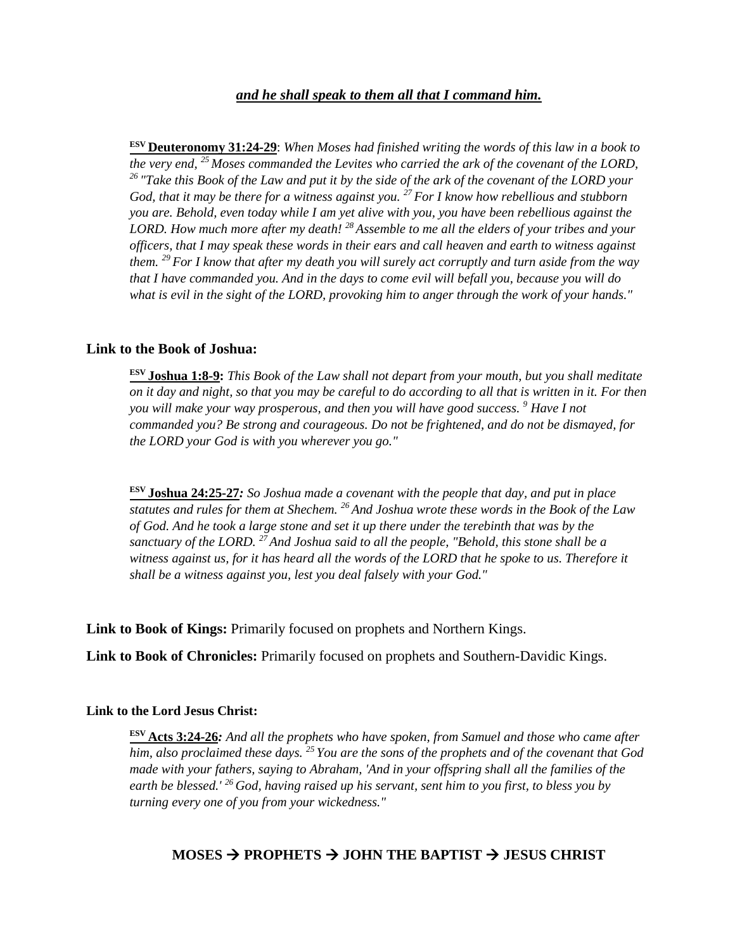#### *and he shall speak to them all that I command him.*

**ESV Deuteronomy 31:24-29**: *When Moses had finished writing the words of this law in a book to the very end, 25 Moses commanded the Levites who carried the ark of the covenant of the LORD, 26 "Take this Book of the Law and put it by the side of the ark of the covenant of the LORD your God, that it may be there for a witness against you. 27 For I know how rebellious and stubborn you are. Behold, even today while I am yet alive with you, you have been rebellious against the LORD. How much more after my death! 28 Assemble to me all the elders of your tribes and your officers, that I may speak these words in their ears and call heaven and earth to witness against them. 29 For I know that after my death you will surely act corruptly and turn aside from the way that I have commanded you. And in the days to come evil will befall you, because you will do what is evil in the sight of the LORD, provoking him to anger through the work of your hands."*

#### **Link to the Book of Joshua:**

**ESV Joshua 1:8-9:** *This Book of the Law shall not depart from your mouth, but you shall meditate on it day and night, so that you may be careful to do according to all that is written in it. For then you will make your way prosperous, and then you will have good success. 9 Have I not commanded you? Be strong and courageous. Do not be frightened, and do not be dismayed, for the LORD your God is with you wherever you go."*

**ESV Joshua 24:25-27***: So Joshua made a covenant with the people that day, and put in place statutes and rules for them at Shechem. 26 And Joshua wrote these words in the Book of the Law of God. And he took a large stone and set it up there under the terebinth that was by the sanctuary of the LORD. 27 And Joshua said to all the people, "Behold, this stone shall be a witness against us, for it has heard all the words of the LORD that he spoke to us. Therefore it shall be a witness against you, lest you deal falsely with your God."*

**Link to Book of Kings:** Primarily focused on prophets and Northern Kings.

**Link to Book of Chronicles:** Primarily focused on prophets and Southern-Davidic Kings.

#### **Link to the Lord Jesus Christ:**

**ESV Acts 3:24-26***: And all the prophets who have spoken, from Samuel and those who came after him, also proclaimed these days. 25 You are the sons of the prophets and of the covenant that God made with your fathers, saying to Abraham, 'And in your offspring shall all the families of the earth be blessed.' 26 God, having raised up his servant, sent him to you first, to bless you by turning every one of you from your wickedness."*

### **MOSES PROPHETS JOHN THE BAPTIST JESUS CHRIST**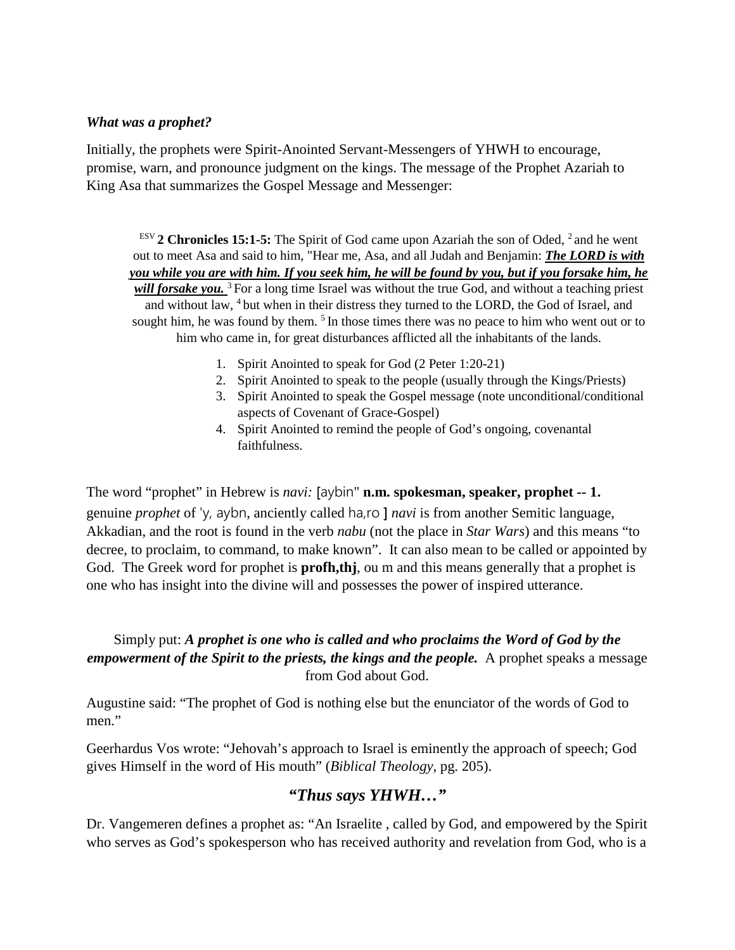#### *What was a prophet?*

Initially, the prophets were Spirit-Anointed Servant-Messengers of YHWH to encourage, promise, warn, and pronounce judgment on the kings. The message of the Prophet Azariah to King Asa that summarizes the Gospel Message and Messenger:

ESV **2 Chronicles 15:1-5:** The Spirit of God came upon Azariah the son of Oded, 2 and he went out to meet Asa and said to him, "Hear me, Asa, and all Judah and Benjamin: *The LORD is with you while you are with him. If you seek him, he will be found by you, but if you forsake him, he will forsake you.* 3 For a long time Israel was without the true God, and without a teaching priest and without law, 4 but when in their distress they turned to the LORD, the God of Israel, and sought him, he was found by them.  $5 \text{ In those times there was no peace to him who went out or to }$ him who came in, for great disturbances afflicted all the inhabitants of the lands.

- 1. Spirit Anointed to speak for God (2 Peter 1:20-21)
- 2. Spirit Anointed to speak to the people (usually through the Kings/Priests)
- 3. Spirit Anointed to speak the Gospel message (note unconditional/conditional aspects of Covenant of Grace-Gospel)
- 4. Spirit Anointed to remind the people of God's ongoing, covenantal faithfulness.

The word "prophet" in Hebrew is *navi:* [aybin" **n.m. spokesman, speaker, prophet -- 1.**  genuine *prophet* of 'y, aybn, anciently called ha,ro ] *navi* is from another Semitic language, Akkadian, and the root is found in the verb *nabu* (not the place in *Star Wars*) and this means "to decree, to proclaim, to command, to make known". It can also mean to be called or appointed by God. The Greek word for prophet is **profh,thj**, ou m and this means generally that a prophet is one who has insight into the divine will and possesses the power of inspired utterance.

#### Simply put: *A prophet is one who is called and who proclaims the Word of God by the empowerment of the Spirit to the priests, the kings and the people.* A prophet speaks a message from God about God.

Augustine said: "The prophet of God is nothing else but the enunciator of the words of God to men."

Geerhardus Vos wrote: "Jehovah's approach to Israel is eminently the approach of speech; God gives Himself in the word of His mouth" (*Biblical Theology,* pg. 205).

# *"Thus says YHWH…"*

Dr. Vangemeren defines a prophet as: "An Israelite , called by God, and empowered by the Spirit who serves as God's spokesperson who has received authority and revelation from God, who is a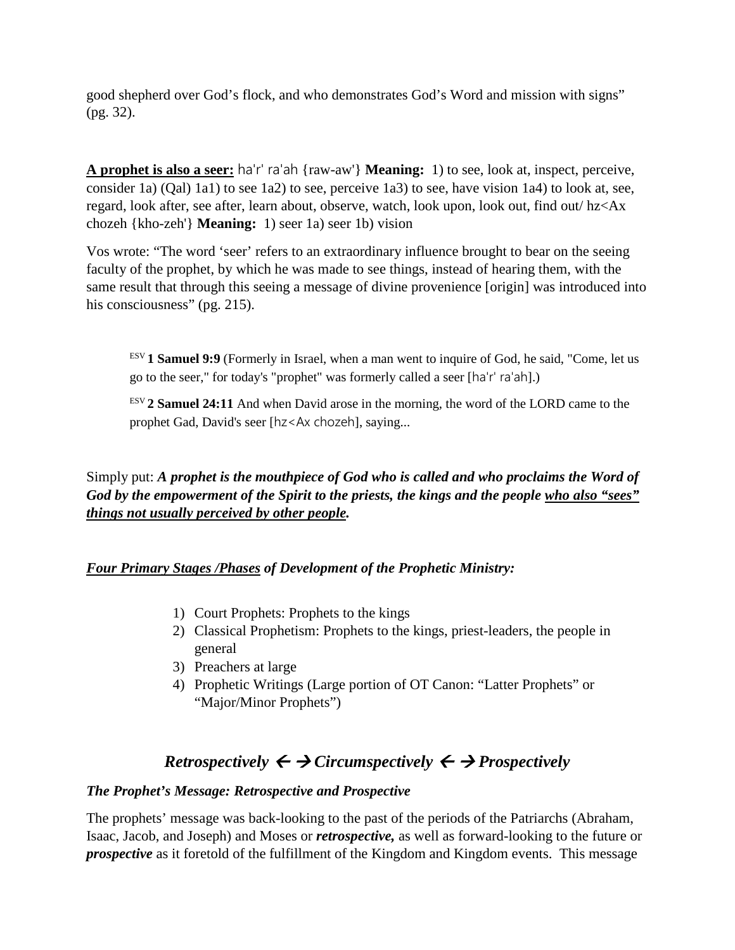good shepherd over God's flock, and who demonstrates God's Word and mission with signs" (pg. 32).

**A prophet is also a seer:** ha'r' ra'ah {raw-aw'} **Meaning:** 1) to see, look at, inspect, perceive, consider 1a) (Qal) 1a1) to see 1a2) to see, perceive 1a3) to see, have vision 1a4) to look at, see, regard, look after, see after, learn about, observe, watch, look upon, look out, find out/ hz<Ax chozeh {kho-zeh'} **Meaning:** 1) seer 1a) seer 1b) vision

Vos wrote: "The word 'seer' refers to an extraordinary influence brought to bear on the seeing faculty of the prophet, by which he was made to see things, instead of hearing them, with the same result that through this seeing a message of divine provenience [origin] was introduced into his consciousness" (pg. 215).

ESV **1 Samuel 9:9** (Formerly in Israel, when a man went to inquire of God, he said, "Come, let us go to the seer," for today's "prophet" was formerly called a seer [ha'r' ra'ah].)

 $E$ <sup>ESV</sup> 2 **Samuel 24:11** And when David arose in the morning, the word of the LORD came to the prophet Gad, David's seer [hz<Ax chozeh], saying...

### Simply put: *A prophet is the mouthpiece of God who is called and who proclaims the Word of God by the empowerment of the Spirit to the priests, the kings and the people who also "sees" things not usually perceived by other people.*

### *Four Primary Stages /Phases of Development of the Prophetic Ministry:*

- 1) Court Prophets: Prophets to the kings
- 2) Classical Prophetism: Prophets to the kings, priest-leaders, the people in general
- 3) Preachers at large
- 4) Prophetic Writings (Large portion of OT Canon: "Latter Prophets" or "Major/Minor Prophets")

# *Retrospectively*  $\leftarrow \rightarrow$  *Circumspectively*  $\leftarrow \rightarrow$  *Prospectively*

#### *The Prophet's Message: Retrospective and Prospective*

The prophets' message was back-looking to the past of the periods of the Patriarchs (Abraham, Isaac, Jacob, and Joseph) and Moses or *retrospective,* as well as forward-looking to the future or *prospective* as it foretold of the fulfillment of the Kingdom and Kingdom events. This message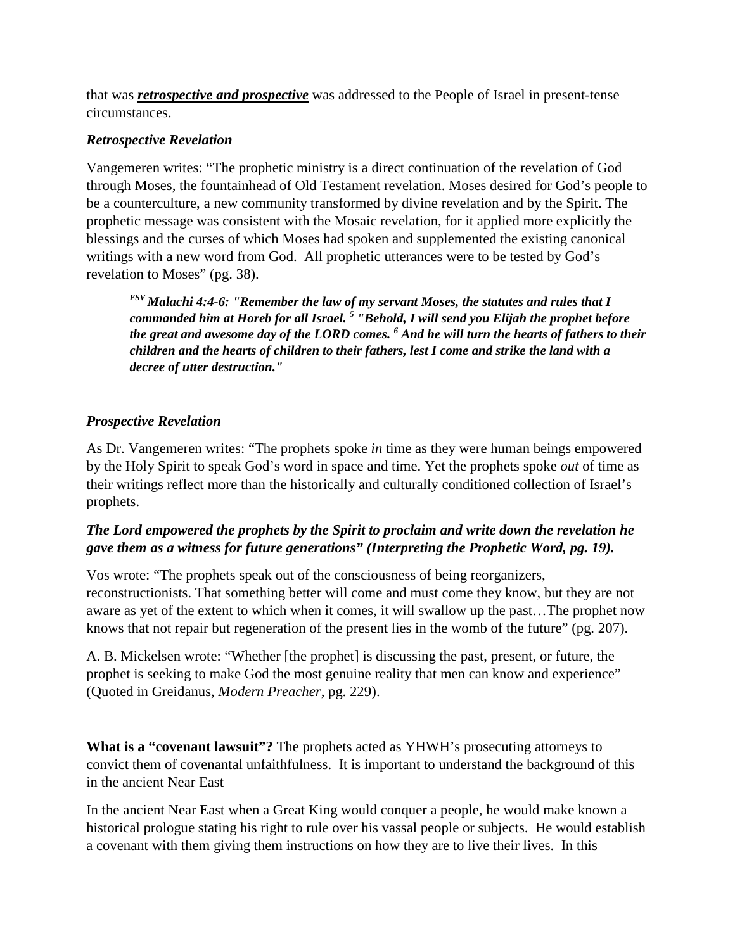that was *retrospective and prospective* was addressed to the People of Israel in present-tense circumstances.

#### *Retrospective Revelation*

Vangemeren writes: "The prophetic ministry is a direct continuation of the revelation of God through Moses, the fountainhead of Old Testament revelation. Moses desired for God's people to be a counterculture, a new community transformed by divine revelation and by the Spirit. The prophetic message was consistent with the Mosaic revelation, for it applied more explicitly the blessings and the curses of which Moses had spoken and supplemented the existing canonical writings with a new word from God. All prophetic utterances were to be tested by God's revelation to Moses" (pg. 38).

*ESV Malachi 4:4-6: "Remember the law of my servant Moses, the statutes and rules that I commanded him at Horeb for all Israel. <sup>5</sup> "Behold, I will send you Elijah the prophet before the great and awesome day of the LORD comes. <sup>6</sup> And he will turn the hearts of fathers to their children and the hearts of children to their fathers, lest I come and strike the land with a decree of utter destruction."*

### *Prospective Revelation*

As Dr. Vangemeren writes: "The prophets spoke *in* time as they were human beings empowered by the Holy Spirit to speak God's word in space and time. Yet the prophets spoke *out* of time as their writings reflect more than the historically and culturally conditioned collection of Israel's prophets.

### *The Lord empowered the prophets by the Spirit to proclaim and write down the revelation he gave them as a witness for future generations" (Interpreting the Prophetic Word, pg. 19).*

Vos wrote: "The prophets speak out of the consciousness of being reorganizers, reconstructionists. That something better will come and must come they know, but they are not aware as yet of the extent to which when it comes, it will swallow up the past…The prophet now knows that not repair but regeneration of the present lies in the womb of the future" (pg. 207).

A. B. Mickelsen wrote: "Whether [the prophet] is discussing the past, present, or future, the prophet is seeking to make God the most genuine reality that men can know and experience" (Quoted in Greidanus, *Modern Preacher*, pg. 229).

**What is a "covenant lawsuit"?** The prophets acted as YHWH's prosecuting attorneys to convict them of covenantal unfaithfulness. It is important to understand the background of this in the ancient Near East

In the ancient Near East when a Great King would conquer a people, he would make known a historical prologue stating his right to rule over his vassal people or subjects. He would establish a covenant with them giving them instructions on how they are to live their lives. In this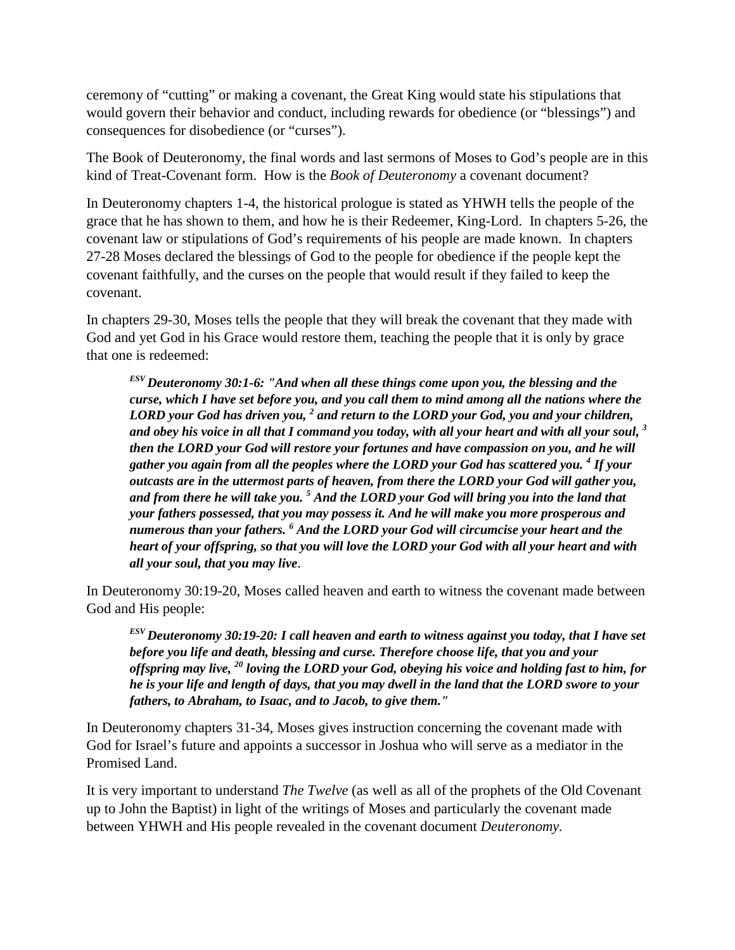ceremony of "cutting" or making a covenant, the Great King would state his stipulations that would govern their behavior and conduct, including rewards for obedience (or "blessings") and consequences for disobedience (or "curses").

The Book of Deuteronomy, the final words and last sermons of Moses to God's people are in this kind of Treat-Covenant form. How is the *Book of Deuteronomy* a covenant document?

In Deuteronomy chapters 1-4, the historical prologue is stated as YHWH tells the people of the grace that he has shown to them, and how he is their Redeemer, King-Lord. In chapters 5-26, the covenant law or stipulations of God's requirements of his people are made known. In chapters 27-28 Moses declared the blessings of God to the people for obedience if the people kept the covenant faithfully, and the curses on the people that would result if they failed to keep the covenant.

In chapters 29-30, Moses tells the people that they will break the covenant that they made with God and yet God in his Grace would restore them, teaching the people that it is only by grace that one is redeemed:

*ESV Deuteronomy 30:1-6: "And when all these things come upon you, the blessing and the curse, which I have set before you, and you call them to mind among all the nations where the LORD your God has driven you, <sup>2</sup> and return to the LORD your God, you and your children, and obey his voice in all that I command you today, with all your heart and with all your soul, 3 then the LORD your God will restore your fortunes and have compassion on you, and he will gather you again from all the peoples where the LORD your God has scattered you. <sup>4</sup> If your outcasts are in the uttermost parts of heaven, from there the LORD your God will gather you, and from there he will take you. 5 And the LORD your God will bring you into the land that your fathers possessed, that you may possess it. And he will make you more prosperous and numerous than your fathers. <sup>6</sup> And the LORD your God will circumcise your heart and the heart of your offspring, so that you will love the LORD your God with all your heart and with all your soul, that you may live*.

In Deuteronomy 30:19-20, Moses called heaven and earth to witness the covenant made between God and His people:

*ESV Deuteronomy 30:19-20: I call heaven and earth to witness against you today, that I have set before you life and death, blessing and curse. Therefore choose life, that you and your offspring may live, <sup>20</sup> loving the LORD your God, obeying his voice and holding fast to him, for he is your life and length of days, that you may dwell in the land that the LORD swore to your fathers, to Abraham, to Isaac, and to Jacob, to give them."*

In Deuteronomy chapters 31-34, Moses gives instruction concerning the covenant made with God for Israel's future and appoints a successor in Joshua who will serve as a mediator in the Promised Land.

It is very important to understand *The Twelve* (as well as all of the prophets of the Old Covenant up to John the Baptist) in light of the writings of Moses and particularly the covenant made between YHWH and His people revealed in the covenant document *Deuteronomy.*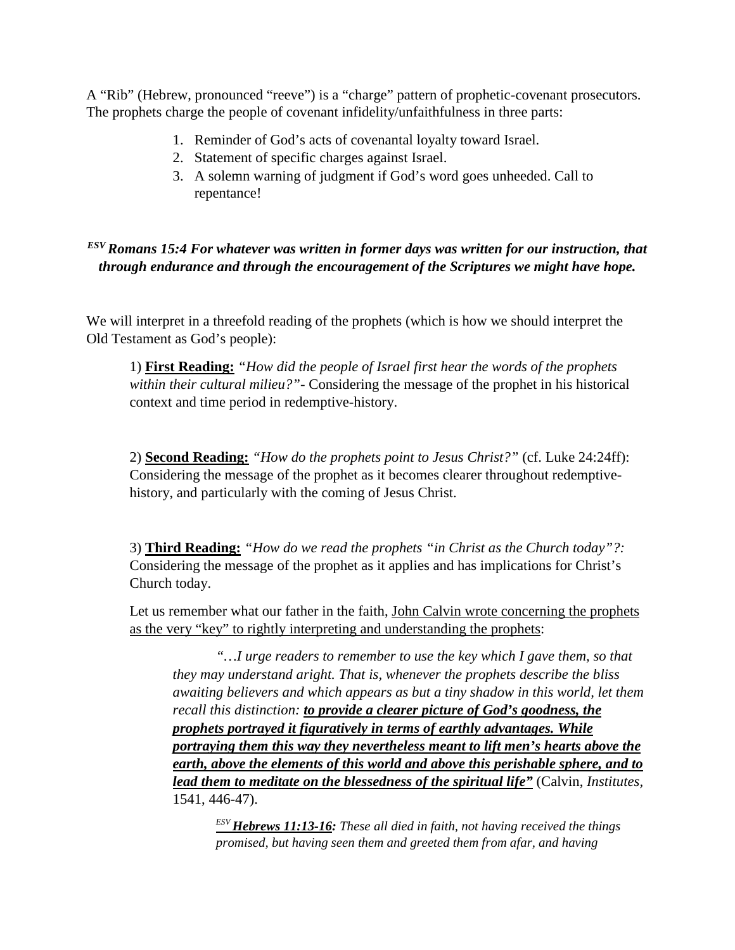A "Rib" (Hebrew, pronounced "reeve") is a "charge" pattern of prophetic-covenant prosecutors. The prophets charge the people of covenant infidelity/unfaithfulness in three parts:

- 1. Reminder of God's acts of covenantal loyalty toward Israel.
- 2. Statement of specific charges against Israel.
- 3. A solemn warning of judgment if God's word goes unheeded. Call to repentance!

*ESV Romans 15:4 For whatever was written in former days was written for our instruction, that through endurance and through the encouragement of the Scriptures we might have hope.*

We will interpret in a threefold reading of the prophets (which is how we should interpret the Old Testament as God's people):

1) **First Reading:** *"How did the people of Israel first hear the words of the prophets within their cultural milieu?"-* Considering the message of the prophet in his historical context and time period in redemptive-history.

2) **Second Reading:** *"How do the prophets point to Jesus Christ?"* (cf. Luke 24:24ff): Considering the message of the prophet as it becomes clearer throughout redemptivehistory, and particularly with the coming of Jesus Christ.

3) **Third Reading:** *"How do we read the prophets "in Christ as the Church today"?:*  Considering the message of the prophet as it applies and has implications for Christ's Church today.

Let us remember what our father in the faith, John Calvin wrote concerning the prophets as the very "key" to rightly interpreting and understanding the prophets:

*"…I urge readers to remember to use the key which I gave them, so that they may understand aright. That is, whenever the prophets describe the bliss awaiting believers and which appears as but a tiny shadow in this world, let them recall this distinction: to provide a clearer picture of God's goodness, the prophets portrayed it figuratively in terms of earthly advantages. While portraying them this way they nevertheless meant to lift men's hearts above the earth, above the elements of this world and above this perishable sphere, and to lead them to meditate on the blessedness of the spiritual life"* (Calvin, *Institutes,*  1541, 446-47).

*ESV Hebrews 11:13-16: These all died in faith, not having received the things promised, but having seen them and greeted them from afar, and having*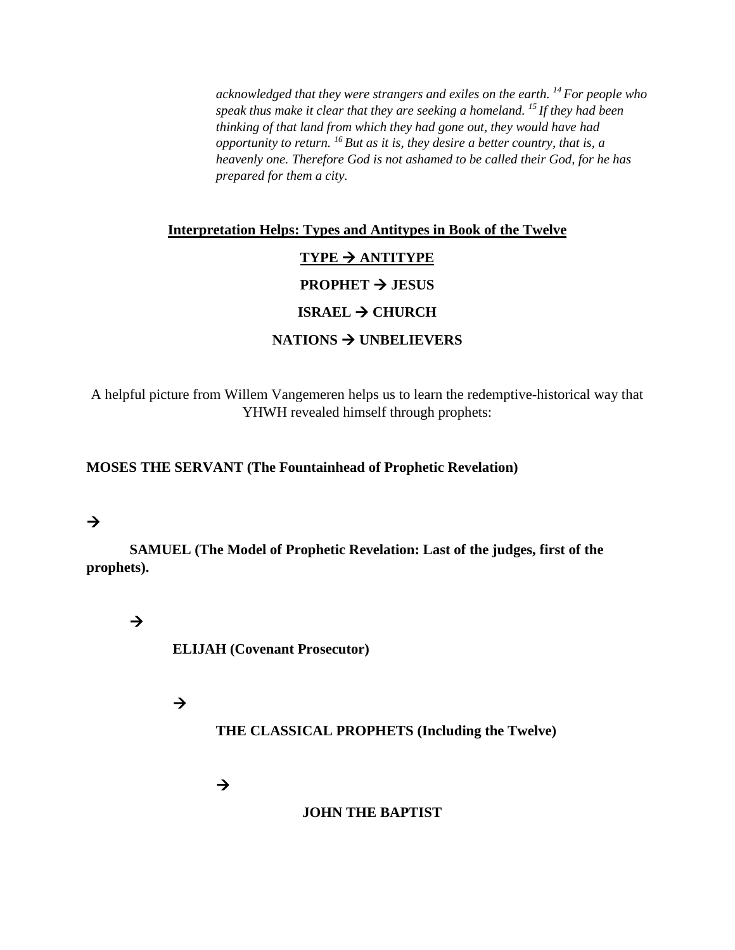*acknowledged that they were strangers and exiles on the earth. 14 For people who speak thus make it clear that they are seeking a homeland. 15 If they had been thinking of that land from which they had gone out, they would have had opportunity to return. 16 But as it is, they desire a better country, that is, a heavenly one. Therefore God is not ashamed to be called their God, for he has prepared for them a city.*

# **Interpretation Helps: Types and Antitypes in Book of the Twelve**

#### **TYPE ANTITYPE**

#### **PROPHET**  $\rightarrow$  **JESUS**

#### **ISRAEL → CHURCH**

#### **NATIONS UNBELIEVERS**

A helpful picture from Willem Vangemeren helps us to learn the redemptive-historical way that YHWH revealed himself through prophets:

#### **MOSES THE SERVANT (The Fountainhead of Prophetic Revelation)**

# $\rightarrow$

**SAMUEL (The Model of Prophetic Revelation: Last of the judges, first of the prophets).**

# $\rightarrow$

**ELIJAH (Covenant Prosecutor)**

### $\rightarrow$

**THE CLASSICAL PROPHETS (Including the Twelve)**

 $\rightarrow$ 

#### **JOHN THE BAPTIST**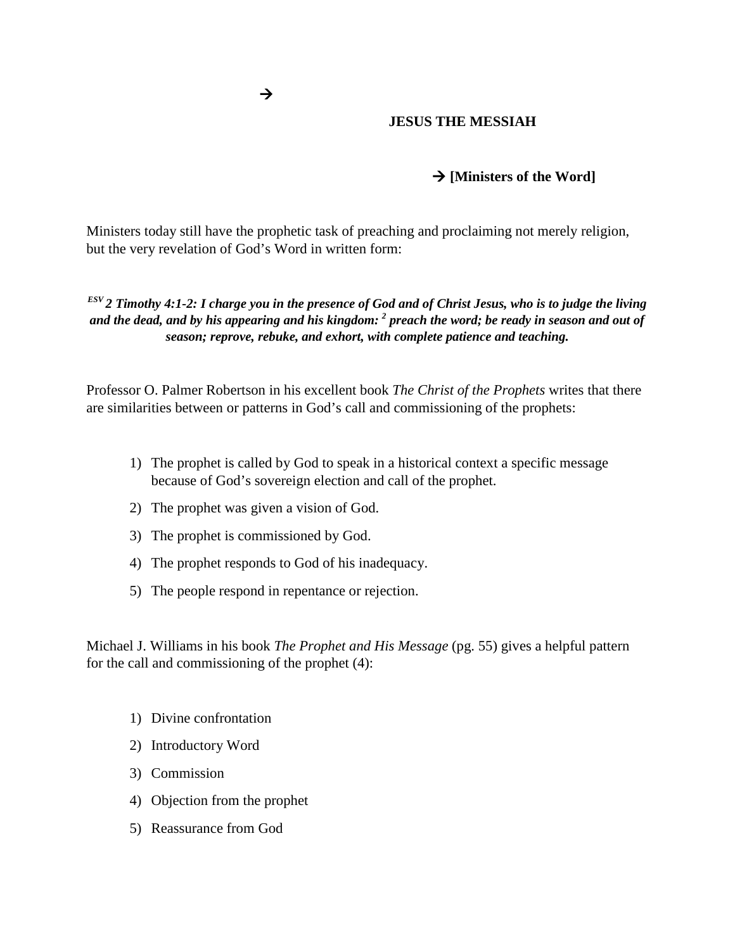#### **JESUS THE MESSIAH**

#### **[Ministers of the Word]**

Ministers today still have the prophetic task of preaching and proclaiming not merely religion, but the very revelation of God's Word in written form:

*ESV 2 Timothy 4:1-2: I charge you in the presence of God and of Christ Jesus, who is to judge the living and the dead, and by his appearing and his kingdom: 2 preach the word; be ready in season and out of season; reprove, rebuke, and exhort, with complete patience and teaching.*

Professor O. Palmer Robertson in his excellent book *The Christ of the Prophets* writes that there are similarities between or patterns in God's call and commissioning of the prophets:

- 1) The prophet is called by God to speak in a historical context a specific message because of God's sovereign election and call of the prophet.
- 2) The prophet was given a vision of God.
- 3) The prophet is commissioned by God.
- 4) The prophet responds to God of his inadequacy.
- 5) The people respond in repentance or rejection.

Michael J. Williams in his book *The Prophet and His Message* (pg. 55) gives a helpful pattern for the call and commissioning of the prophet (4):

- 1) Divine confrontation
- 2) Introductory Word
- 3) Commission
- 4) Objection from the prophet
- 5) Reassurance from God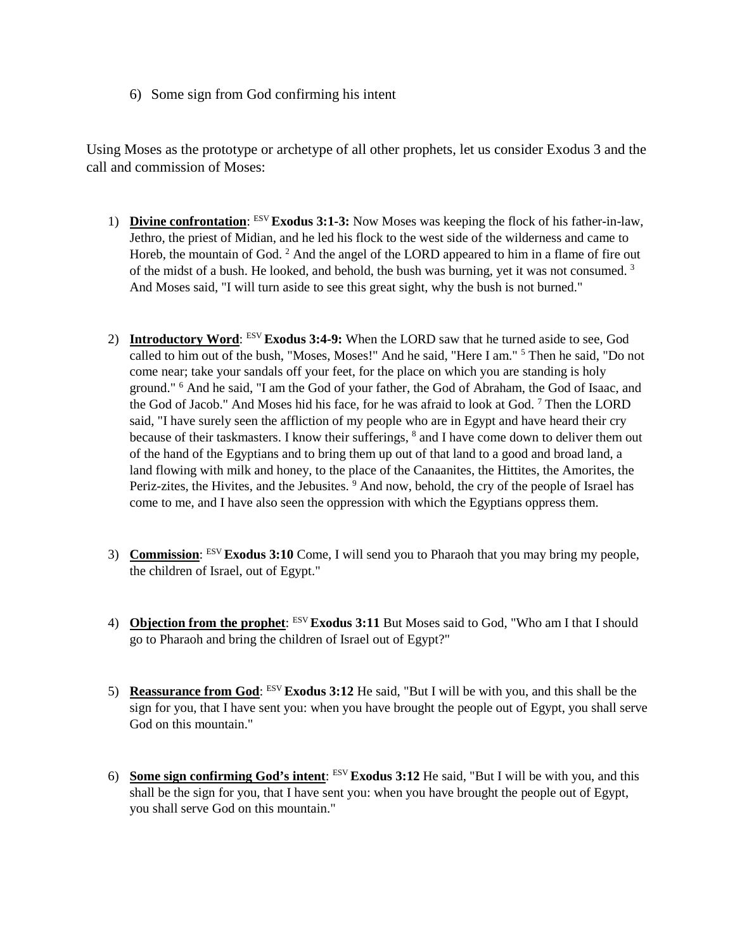6) Some sign from God confirming his intent

Using Moses as the prototype or archetype of all other prophets, let us consider Exodus 3 and the call and commission of Moses:

- 1) **Divine confrontation**: ESV **Exodus 3:1-3:** Now Moses was keeping the flock of his father-in-law, Jethro, the priest of Midian, and he led his flock to the west side of the wilderness and came to Horeb, the mountain of God. <sup>2</sup> And the angel of the LORD appeared to him in a flame of fire out of the midst of a bush. He looked, and behold, the bush was burning, yet it was not consumed. 3 And Moses said, "I will turn aside to see this great sight, why the bush is not burned."
- 2) **Introductory Word**: ESV **Exodus 3:4-9:** When the LORD saw that he turned aside to see, God called to him out of the bush, "Moses, Moses!" And he said, "Here I am." 5 Then he said, "Do not come near; take your sandals off your feet, for the place on which you are standing is holy ground." 6 And he said, "I am the God of your father, the God of Abraham, the God of Isaac, and the God of Jacob." And Moses hid his face, for he was afraid to look at God. 7 Then the LORD said, "I have surely seen the affliction of my people who are in Egypt and have heard their cry because of their taskmasters. I know their sufferings, <sup>8</sup> and I have come down to deliver them out of the hand of the Egyptians and to bring them up out of that land to a good and broad land, a land flowing with milk and honey, to the place of the Canaanites, the Hittites, the Amorites, the Periz-zites, the Hivites, and the Jebusites. 9 And now, behold, the cry of the people of Israel has come to me, and I have also seen the oppression with which the Egyptians oppress them.
- 3) **Commission**: ESV **Exodus 3:10** Come, I will send you to Pharaoh that you may bring my people, the children of Israel, out of Egypt."
- 4) **Objection from the prophet**: ESV **Exodus 3:11** But Moses said to God, "Who am I that I should go to Pharaoh and bring the children of Israel out of Egypt?"
- 5) **Reassurance from God**: ESV **Exodus 3:12** He said, "But I will be with you, and this shall be the sign for you, that I have sent you: when you have brought the people out of Egypt, you shall serve God on this mountain."
- 6) **Some sign confirming God's intent**: ESV **Exodus 3:12** He said, "But I will be with you, and this shall be the sign for you, that I have sent you: when you have brought the people out of Egypt, you shall serve God on this mountain."